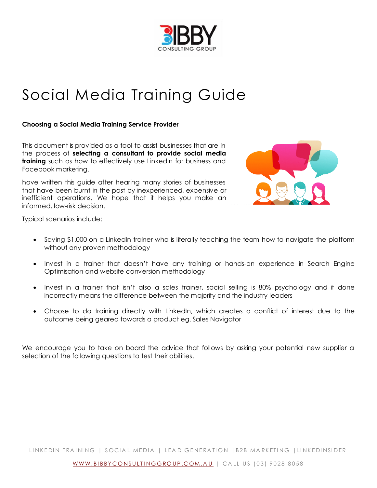

# Social Media Training Guide

#### **Choosing a Social Media Training Service Provider**

This document is provided as a tool to assist businesses that are in the process of **selecting a consultant to provide social media training** such as how to effectively use LinkedIn for business and Facebook marketing.

have written this guide after hearing many stories of businesses that have been burnt in the past by inexperienced, expensive or inefficient operations. We hope that it helps you make an informed, low-risk decision.



Typical scenarios include;

- Saving \$1,000 on a LinkedIn trainer who is literally teaching the team how to navigate the platform without any proven methodology
- Invest in a trainer that doesn't have any training or hands-on experience in Search Engine Optimisation and website conversion methodology
- Invest in a trainer that isn't also a sales trainer, social selling is 80% psychology and if done incorrectly means the difference between the majority and the industry leaders
- Choose to do training directly with LinkedIn, which creates a conflict of interest due to the outcome being geared towards a product eg. Sales Navigator

We encourage you to take on board the advice that follows by asking your potential new supplier a selection of the following questions to test their abilities.

LINKEDIN TRAINING | SOCIAL MEDIA | LEAD GENERATION | B2B MARKETING | LINKEDINSIDER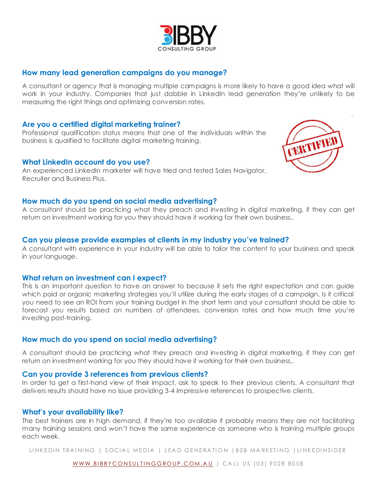# **How many lead generation campaigns do you manage?**

A consultant or agency that is managing multiple campaigns is more likely to have a good idea what will work in your industry. Companies that just dabble in LinkedIn lead generation they're unlikely to be measuring the right things and optimizing conversion rates.

### **Are you a certified digital marketing trainer?**

Professional qualification status means that one of the individuals within the business is qualified to facilitate digital marketing training.

#### **What LinkedIn account do you use?**

An experienced LinkedIn marketer will have tried and tested Sales Navigator, Recruiter and Business Plus.

#### **How much do you spend on social media advertising?**

A consultant should be practicing what they preach and investing in digital marketing, if they can get return on investment working for you they should have it working for their own business,.

# **Can you please provide examples of clients in my industry you've trained?**

A consultant with experience in your industry will be able to tailor the content to your business and speak in your language.

#### **What return on investment can I expect?**

This is an important question to have an answer to because it sets the right expectation and can guide which paid or organic marketing strategies you'll utilize during the early stages of a campaign. Is it critical you need to see an ROI from your training budget in the short term and your consultant should be able to forecast you results based on numbers of attendees, conversion rates and how much time you're investing post-training.

# **How much do you spend on social media advertising?**

A consultant should be practicing what they preach and investing in digital marketing, if they can get return on investment working for you they should have it working for their own business,.

#### **Can you provide 3 references from previous clients?**

In order to get a first-hand view of their impact, ask to speak to their previous clients. A consultant that delivers results should have no issue providing 3-4 impressive references to prospective clients.

#### **What's your availability like?**

The best trainers are in high demand, if they're too available it probably means they are not facilitating many training sessions and won't have the same experience as someone who is training multiple groups each week.

LINKEDIN TRAINING | SOCIAL MEDIA | LEAD GENERATION | B2B MARKETING | LINKEDINSIDER



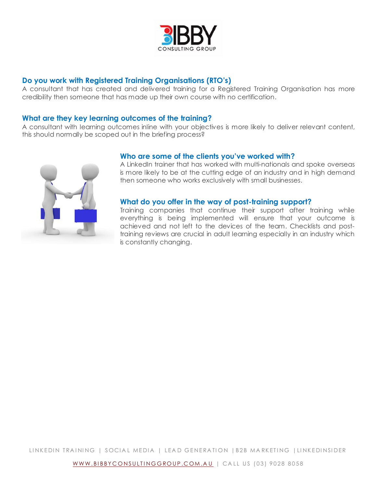

# **Do you work with Registered Training Organisations (RTO's)**

A consultant that has created and delivered training for a Registered Training Organisation has more credibility then someone that has made up their own course with no certification.

## **What are they key learning outcomes of the training?**

A consultant with learning outcomes inline with your objectives is more likely to deliver relevant content, this should normally be scoped out in the briefing process?



### **Who are some of the clients you've worked with?**

A LinkedIn trainer that has worked with multi-nationals and spoke overseas is more likely to be at the cutting edge of an industry and in high demand then someone who works exclusively with small businesses.

### **What do you offer in the way of post-training support?**

Training companies that continue their support after training while everything is being implemented will ensure that your outcome is achieved and not left to the devices of the team. Checklists and posttraining reviews are crucial in adult learning especially in an industry which is constantly changing.